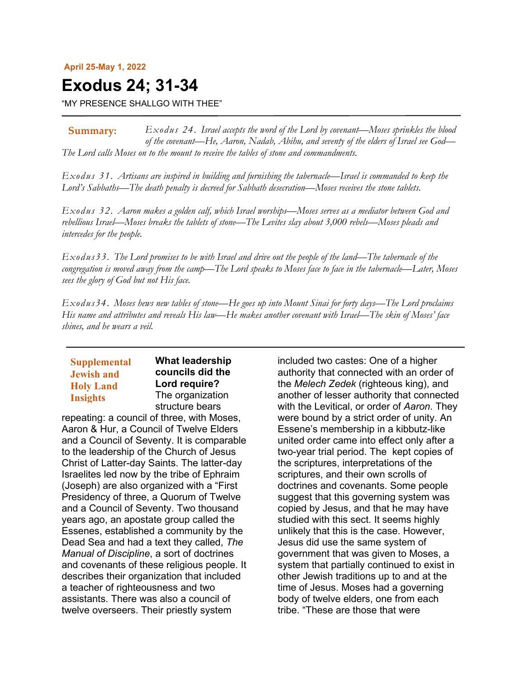#### **April 25-May 1, 2022**

# **Exodus 24; 31-34**

"MY PRESENCE SHALLGO WITH THEE"

*Exodus 24. Israel accepts the word of the Lord by covenant—Moses sprinkles the blood of the covenant—He, Aaron, Nadab, Abihu, and seventy of the elders of Israel see God— The Lord calls Moses on to the mount to receive the tables of stone and commandments.* **Summary:**

*Exodus 31. Artisans are inspired in building and furnishing the tabernacle—Israel is commanded to keep the Lord's Sabbaths—The death penalty is decreed for Sabbath desecration—Moses receives the stone tablets.*

*Exodus 32. Aaron makes a golden calf, which Israel worships—Moses serves as a mediator between God and rebellious Israel—Moses breaks the tablets of stone—The Levites slay about 3,000 rebels—Moses pleads and intercedes for the people.*

*Exodus33. The Lord promises to be with Israel and drive out the people of the land—The tabernacle of the congregation is moved away from the camp—The Lord speaks to Moses face to face in the tabernacle—Later, Moses sees the glory of God but not His face.*

*Exodus34. Moses hews new tables of stone—He goes up into Mount Sinai for forty days—The Lord proclaims His name and attributes and reveals His law—He makes another covenant with Israel—The skin of Moses' face shines, and he wears a veil.*

## **Supplemental Jewish and Holy Land Insights**

**What leadership councils did the Lord require?** The organization structure bears

repeating: a council of three, with Moses, Aaron & Hur, a Council of Twelve Elders and a Council of Seventy. It is comparable to the leadership of the Church of Jesus Christ of Latter-day Saints. The latter-day Israelites led now by the tribe of Ephraim (Joseph) are also organized with a "First Presidency of three, a Quorum of Twelve and a Council of Seventy. Two thousand years ago, an apostate group called the Essenes, established a community by the Dead Sea and had a text they called, *The Manual of Discipline*, a sort of doctrines and covenants of these religious people. It describes their organization that included a teacher of righteousness and two assistants. There was also a council of twelve overseers. Their priestly system

included two castes: One of a higher authority that connected with an order of the *Melech Zedek* (righteous king), and another of lesser authority that connected with the Levitical, or order of *Aaron*. They were bound by a strict order of unity. An Essene's membership in a kibbutz-like united order came into effect only after a two-year trial period. The kept copies of the scriptures, interpretations of the scriptures, and their own scrolls of doctrines and covenants. Some people suggest that this governing system was copied by Jesus, and that he may have studied with this sect. It seems highly unlikely that this is the case. However, Jesus did use the same system of government that was given to Moses, a system that partially continued to exist in other Jewish traditions up to and at the time of Jesus. Moses had a governing body of twelve elders, one from each tribe. "These are those that were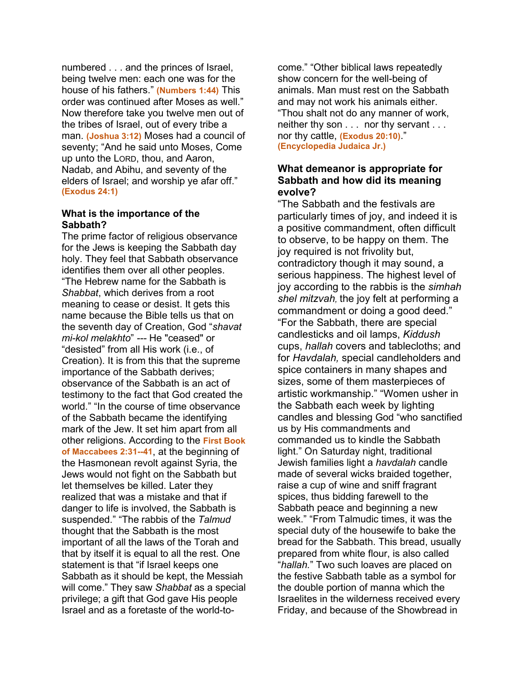numbered . . . and the princes of Israel, being twelve men: each one was for the house of his fathers." **(Numbers 1:44)** This order was continued after Moses as well." Now therefore take you twelve men out of the tribes of Israel, out of every tribe a man. **(Joshua 3:12)** Moses had a council of seventy; "And he said unto Moses, Come up unto the LORD, thou, and Aaron, Nadab, and Abihu, and seventy of the elders of Israel; and worship ye afar off." **(Exodus 24:1)**

## **What is the importance of the Sabbath?**

The prime factor of religious observance for the Jews is keeping the Sabbath day holy. They feel that Sabbath observance identifies them over all other peoples. "The Hebrew name for the Sabbath is *Shabbat*, which derives from a root meaning to cease or desist. It gets this name because the Bible tells us that on the seventh day of Creation, God "*shavat mi-kol melakhto*" *---* He "ceased" or "desisted" from all His work (i.e., of Creation). It is from this that the supreme importance of the Sabbath derives; observance of the Sabbath is an act of testimony to the fact that God created the world." "In the course of time observance of the Sabbath became the identifying mark of the Jew. It set him apart from all other religions. According to the **First Book of Maccabees 2:31--41**, at the beginning of the Hasmonean revolt against Syria, the Jews would not fight on the Sabbath but let themselves be killed. Later they realized that was a mistake and that if danger to life is involved, the Sabbath is suspended." "The rabbis of the *Talmud* thought that the Sabbath is the most important of all the laws of the Torah and that by itself it is equal to all the rest. One statement is that "if Israel keeps one Sabbath as it should be kept, the Messiah will come." They saw *Shabbat* as a special privilege; a gift that God gave His people Israel and as a foretaste of the world-to-

come." "Other biblical laws repeatedly show concern for the well-being of animals. Man must rest on the Sabbath and may not work his animals either. "Thou shalt not do any manner of work, neither thy son . . . nor thy servant . . . nor thy cattle, **(Exodus 20:10)**." **(Encyclopedia Judaica Jr.)**

## **What demeanor is appropriate for Sabbath and how did its meaning evolve?**

"The Sabbath and the festivals are particularly times of joy, and indeed it is a positive commandment, often difficult to observe, to be happy on them. The joy required is not frivolity but, contradictory though it may sound, a serious happiness. The highest level of joy according to the rabbis is the *simhah shel mitzvah,* the joy felt at performing a commandment or doing a good deed." "For the Sabbath, there are special candlesticks and oil lamps, *Kiddush*  cups, *hallah* covers and tablecloths; and for *Havdalah,* special candleholders and spice containers in many shapes and sizes, some of them masterpieces of artistic workmanship." "Women usher in the Sabbath each week by lighting candles and blessing God "who sanctified us by His commandments and commanded us to kindle the Sabbath light." On Saturday night, traditional Jewish families light a *havdalah* candle made of several wicks braided together, raise a cup of wine and sniff fragrant spices, thus bidding farewell to the Sabbath peace and beginning a new week." "From Talmudic times, it was the special duty of the housewife to bake the bread for the Sabbath. This bread, usually prepared from white flour, is also called "*hallah.*" Two such loaves are placed on the festive Sabbath table as a symbol for the double portion of manna which the Israelites in the wilderness received every Friday, and because of the Showbread in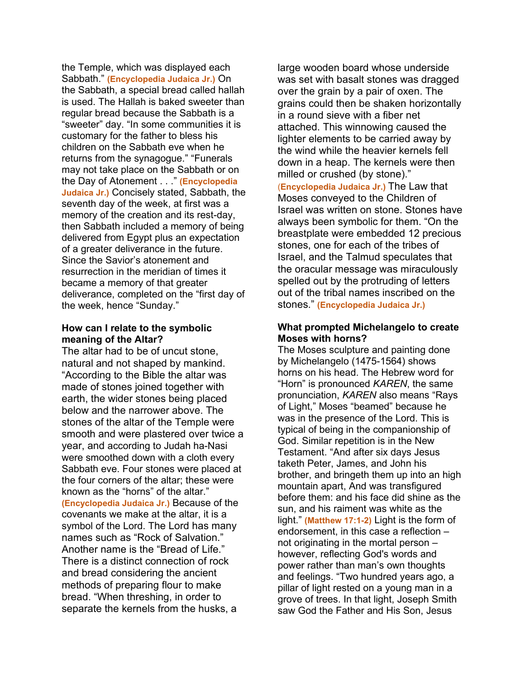the Temple, which was displayed each Sabbath." **(Encyclopedia Judaica Jr.)** On the Sabbath, a special bread called hallah is used. The Hallah is baked sweeter than regular bread because the Sabbath is a "sweeter" day. "In some communities it is customary for the father to bless his children on the Sabbath eve when he returns from the synagogue." "Funerals may not take place on the Sabbath or on the Day of Atonement . . ." **(Encyclopedia Judaica Jr.)** Concisely stated, Sabbath, the seventh day of the week, at first was a memory of the creation and its rest-day, then Sabbath included a memory of being delivered from Egypt plus an expectation of a greater deliverance in the future. Since the Savior's atonement and resurrection in the meridian of times it became a memory of that greater deliverance, completed on the "first day of the week, hence "Sunday."

## **How can I relate to the symbolic meaning of the Altar?**

The altar had to be of uncut stone, natural and not shaped by mankind. "According to the Bible the altar was made of stones joined together with earth, the wider stones being placed below and the narrower above. The stones of the altar of the Temple were smooth and were plastered over twice a year, and according to Judah ha-Nasi were smoothed down with a cloth every Sabbath eve. Four stones were placed at the four corners of the altar; these were known as the "horns" of the altar." **(Encyclopedia Judaica Jr.)** Because of the covenants we make at the altar, it is a symbol of the Lord. The Lord has many names such as "Rock of Salvation." Another name is the "Bread of Life." There is a distinct connection of rock and bread considering the ancient methods of preparing flour to make bread. "When threshing, in order to separate the kernels from the husks, a

large wooden board whose underside was set with basalt stones was dragged over the grain by a pair of oxen. The grains could then be shaken horizontally in a round sieve with a fiber net attached. This winnowing caused the lighter elements to be carried away by the wind while the heavier kernels fell down in a heap. The kernels were then milled or crushed (by stone)." (**Encyclopedia Judaica Jr.)** The Law that Moses conveyed to the Children of Israel was written on stone. Stones have always been symbolic for them. "On the breastplate were embedded 12 precious stones, one for each of the tribes of Israel, and the Talmud speculates that the oracular message was miraculously spelled out by the protruding of letters out of the tribal names inscribed on the stones." **(Encyclopedia Judaica Jr.)**

## **What prompted Michelangelo to create Moses with horns?**

The Moses sculpture and painting done by Michelangelo (1475-1564) shows horns on his head. The Hebrew word for "Horn" is pronounced *KAREN*, the same pronunciation, *KAREN* also means "Rays of Light," Moses "beamed" because he was in the presence of the Lord. This is typical of being in the companionship of God. Similar repetition is in the New Testament. "And after six days Jesus taketh Peter, James, and John his brother, and bringeth them up into an high mountain apart, And was transfigured before them: and his face did shine as the sun, and his raiment was white as the light." **(Matthew 17:1-2)** Light is the form of endorsement, in this case a reflection – not originating in the mortal person – however, reflecting God's words and power rather than man's own thoughts and feelings. "Two hundred years ago, a pillar of light rested on a young man in a grove of trees. In that light, Joseph Smith saw God the Father and His Son, Jesus